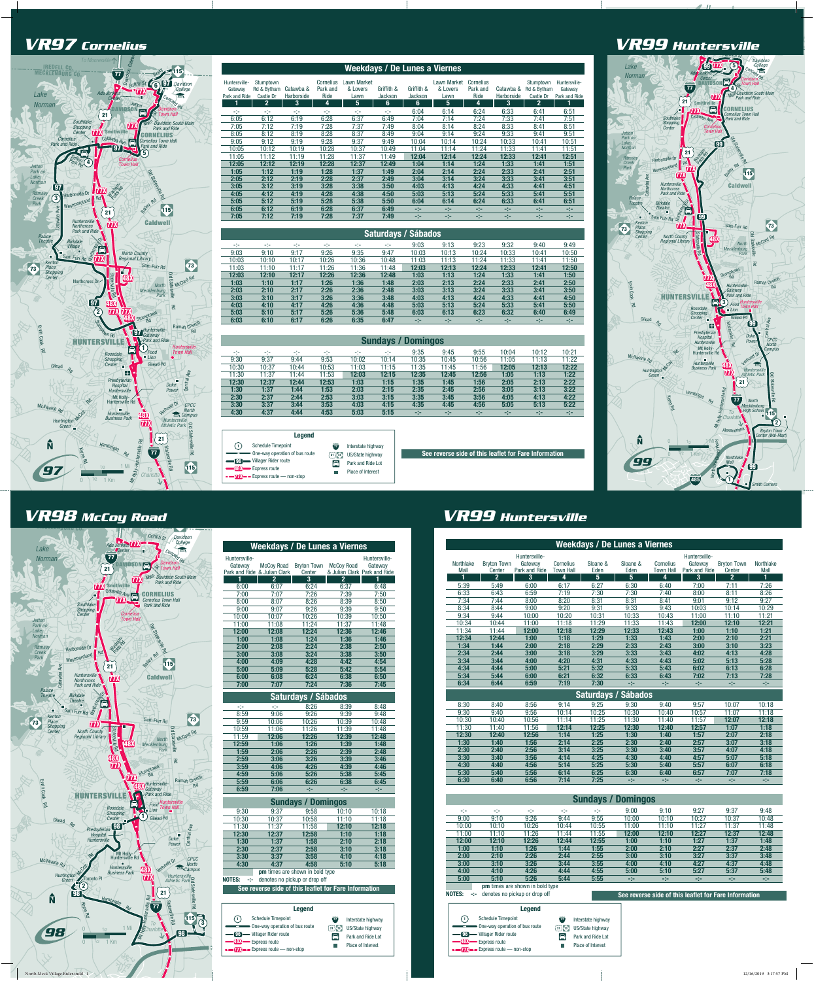



Park and Ride Lot Place of Interest

 $\mathcal{L}_{\mathcal{A}}$ 

48X Express route  $T2 -$  Express route — non-stop

> US/State highway 21 73 Park and Ride Lot **Place of Interest**

### *To Mooresville* IREDELL CO. MECKLENBURG CO. *VR98 McCoy Road*



|                        | <b>Sundays / Domingos</b>                                                             |                                        |                                                                                                                                    |                                                             |       |       |       |                                                       |       |  |  |
|------------------------|---------------------------------------------------------------------------------------|----------------------------------------|------------------------------------------------------------------------------------------------------------------------------------|-------------------------------------------------------------|-------|-------|-------|-------------------------------------------------------|-------|--|--|
| At A                   | -1-                                                                                   | Him                                    | Him                                                                                                                                | HD-                                                         | 9:00  | 9:10  | 9:27  | 9:37                                                  | 9:48  |  |  |
| 9:00                   | 9:10                                                                                  | 9:26                                   | 9:44                                                                                                                               | 9:55                                                        | 10:00 | 10:10 | 10:27 | 10:37                                                 | 10:48 |  |  |
| 10:00                  | 10:10                                                                                 | 10:26                                  | 10:44                                                                                                                              | 10:55                                                       | 11:00 | 11:10 | 11:27 | 11:37                                                 | 11:48 |  |  |
| 11:00                  | 11:10                                                                                 | 11:26                                  | 11:44                                                                                                                              | 11:55                                                       | 12:00 | 12:10 | 12:27 | 12:37                                                 | 12:48 |  |  |
| 12:00                  | 12:10                                                                                 | 12:26                                  | 12:44                                                                                                                              | 12:55                                                       | 1:00  | 1:10  | 1:27  | 1:37                                                  | 1:48  |  |  |
| 1:00                   | 1:10                                                                                  | 1:26                                   | 1:44                                                                                                                               | 1:55                                                        | 2:00  | 2:10  | 2:27  | 2:37                                                  | 2:48  |  |  |
| 2:00                   | 2:10                                                                                  | 2:26                                   | 2:44                                                                                                                               | 2:55                                                        | 3:00  | 3:10  | 3:27  | 3:37                                                  | 3:48  |  |  |
| 3:00                   | 3:10                                                                                  | 3:26                                   | 3:44                                                                                                                               | 3:55                                                        | 4:00  | 4:10  | 4:27  | 4:37                                                  | 4:48  |  |  |
| 4:00                   | 4:10                                                                                  | 4:26                                   | 4:44                                                                                                                               | 4:55                                                        | 5:00  | 5:10  | 5:27  | 5:37                                                  | 5:48  |  |  |
| 5:00                   | 5:10                                                                                  | 5:26                                   | 5:44                                                                                                                               | 5:55                                                        | -94   | -94   | -94   | eter.                                                 | eter. |  |  |
|                        |                                                                                       | <b>pm</b> times are shown in bold type |                                                                                                                                    |                                                             |       |       |       |                                                       |       |  |  |
| <b>NOTES:</b><br>eter. |                                                                                       | denotes no pickup or drop off          |                                                                                                                                    |                                                             |       |       |       | See reverse side of this leaflet for Fare Information |       |  |  |
|                        |                                                                                       | <b>Legend</b>                          |                                                                                                                                    |                                                             |       |       |       |                                                       |       |  |  |
| (1)<br>[96]<br>$-$     | <b>Schedule Timepoint</b><br>One-way operation of bus route<br>- Villager Rider route |                                        | $\widetilde{\bm{u}}$<br>$\left(\begin{matrix} 21 \end{matrix}\right)$ $\left(\begin{matrix} 73 \end{matrix}\right)$<br>$\bigoplus$ | Interstate highway<br>US/State highway<br>Park and Ride Lot |       |       |       |                                                       |       |  |  |

**Place of Interest** 

48X Express route  $\overline{T}$   $\overline{T}$   $\overline{F}$  Express route — non-stop

*VR97 Cornelius* 

| Huntersville-                                                                     |                                                       |                                 |                                                   | Huntersville-  |  |  |  |  |  |
|-----------------------------------------------------------------------------------|-------------------------------------------------------|---------------------------------|---------------------------------------------------|----------------|--|--|--|--|--|
| Gateway                                                                           | <b>McCov Road</b><br>Park and Ride & Julian Clark     | <b>Bryton Town</b><br>Center    | <b>McCoy Road</b><br>& Julian Clark Park and Ride | Gateway        |  |  |  |  |  |
| 1                                                                                 | $\mathbf{2}$                                          | 3                               | $\mathbf{2}$                                      | 1              |  |  |  |  |  |
| 6:00                                                                              | 6:07                                                  | 6:24                            | 6:37                                              | 6:48           |  |  |  |  |  |
| 7:00                                                                              | 7:07                                                  | 7:26                            | 7:39                                              | 7:50           |  |  |  |  |  |
| 8:00                                                                              | 8:07                                                  | 8:26                            | 8:39                                              | 8:50           |  |  |  |  |  |
| 9:00                                                                              | 9:07                                                  | 9:26                            | 9:39                                              | 9:50           |  |  |  |  |  |
| 10:00                                                                             | 10:07                                                 | 10:26                           | 10:39                                             | 10:50          |  |  |  |  |  |
| 11:00                                                                             | 11:08                                                 | 11:24                           | 11:37                                             | 11:48          |  |  |  |  |  |
| 12:00                                                                             | 12:08                                                 | 12:24                           | 12:36                                             | 12:46          |  |  |  |  |  |
| 1:00                                                                              | 1:08                                                  | 1:24                            | 1:36                                              | 1:46           |  |  |  |  |  |
| 2:00                                                                              | 2:08                                                  | 2:24                            | 2:38                                              | 2:50           |  |  |  |  |  |
| 3:00                                                                              | 3:08                                                  | 3:24                            | 3:38                                              | 3:50           |  |  |  |  |  |
| 4:00                                                                              | 4:09                                                  | 4:28                            | 4:42                                              | 4:54           |  |  |  |  |  |
| 5:00                                                                              | 5:09                                                  | 5:28                            | 5:42                                              | 5:54           |  |  |  |  |  |
| 6:00                                                                              | 6:08                                                  | 6:24                            | 6:38                                              | 6:50           |  |  |  |  |  |
| 7:00                                                                              | 7:07                                                  | 7:24                            | 7:36                                              | 7:45           |  |  |  |  |  |
|                                                                                   |                                                       |                                 |                                                   |                |  |  |  |  |  |
|                                                                                   |                                                       | <b>Saturdays / Sábados</b>      |                                                   |                |  |  |  |  |  |
| -14                                                                               | -14                                                   | 8:26                            | 8:39                                              | 8:48           |  |  |  |  |  |
| 8:59                                                                              | 9:06                                                  | 9:26                            | 9:39                                              | 9:48           |  |  |  |  |  |
| 9:59                                                                              | 10:06                                                 | 10:26                           | 10:39                                             | 10:48          |  |  |  |  |  |
| 10:59                                                                             | 11:06                                                 | 11:26                           | 11:39                                             | 11:48          |  |  |  |  |  |
| 11:59                                                                             | 12:06                                                 | 12:26                           | 12:39                                             | 12:48          |  |  |  |  |  |
| 12:59                                                                             | 1:06                                                  | 1:26                            | 1:39                                              | 1:48           |  |  |  |  |  |
| 1:59                                                                              | 2:06                                                  | 2:26                            | 2:39                                              | 2:48           |  |  |  |  |  |
| 2:59                                                                              | 3:06                                                  | 3:26                            | 3:39                                              | 3:46           |  |  |  |  |  |
| 3:59                                                                              | 4:06                                                  | 4:26                            | 4:39                                              | 4:46           |  |  |  |  |  |
| 4:59                                                                              | 5:06                                                  | 5:26                            | 5:38                                              | 5:45           |  |  |  |  |  |
| 5:59                                                                              | 6:06                                                  | 6:26                            | 6:38                                              | 6:45           |  |  |  |  |  |
| 6:59                                                                              | 7:06                                                  | -94                             | -94                                               | -94            |  |  |  |  |  |
|                                                                                   |                                                       | <b>Sundays / Domingos</b>       |                                                   |                |  |  |  |  |  |
|                                                                                   |                                                       |                                 |                                                   |                |  |  |  |  |  |
| 9:30<br>10:30                                                                     | 9:37<br>10:37                                         | 9:58<br>10:58                   | 10:10<br>11:10                                    | 10:18<br>11:18 |  |  |  |  |  |
| 11:30                                                                             | 11:37                                                 | 11:58                           | 12:10                                             | 12:18          |  |  |  |  |  |
| 12:30                                                                             | 12:37                                                 | 12:58                           | 1:10                                              | 1:18           |  |  |  |  |  |
| 1:30                                                                              | 1:37                                                  | 1:58                            | 2:10                                              | 2:18           |  |  |  |  |  |
| 2:30                                                                              | 2:37                                                  | 2:58                            | 3:10                                              | 3:18           |  |  |  |  |  |
| 3:30                                                                              | 3:37                                                  | 3:58                            | 4:10                                              | 4:18           |  |  |  |  |  |
| 4:30                                                                              | 4:37                                                  | 4:58                            | 5:10                                              | 5:18           |  |  |  |  |  |
|                                                                                   |                                                       | pm times are shown in bold type |                                                   |                |  |  |  |  |  |
| <b>NOTES:</b><br>45                                                               |                                                       | denotes no pickup or drop off   |                                                   |                |  |  |  |  |  |
|                                                                                   | See reverse side of this leaflet for Fare Information |                                 |                                                   |                |  |  |  |  |  |
|                                                                                   |                                                       |                                 |                                                   |                |  |  |  |  |  |
|                                                                                   |                                                       |                                 |                                                   |                |  |  |  |  |  |
|                                                                                   |                                                       | <b>Legend</b>                   |                                                   |                |  |  |  |  |  |
| (1)<br><b>Schedule Timepoint</b><br>$\overline{\mathbf{u}}$<br>Interstate highway |                                                       |                                 |                                                   |                |  |  |  |  |  |

# *To Mooresville* IREDELL CO. MECKLENBURG CO. 115 *VR99 Huntersville*

One-way operation of bus route

96 Villager Rider route 48X Express route  $\overline{17}$   $\overline{1}$   $\overline{2}$  Express route  $\overline{2}$  non-stop

|                                      | <b>Weekdays / De Lunes a Viernes</b>           |                                                |                                    |                       |                       |                                           |                                                |                                                |                               |  |  |  |
|--------------------------------------|------------------------------------------------|------------------------------------------------|------------------------------------|-----------------------|-----------------------|-------------------------------------------|------------------------------------------------|------------------------------------------------|-------------------------------|--|--|--|
| <b>Northlake</b><br><b>Mall</b><br>1 | <b>Bryton Town</b><br>Center<br>$\overline{2}$ | Huntersville-<br>Gateway<br>Park and Ride<br>3 | Cornelius<br><b>Town Hall</b><br>4 | Sloane &<br>Eden<br>5 | Sloane &<br>Eden<br>5 | <b>Cornelius</b><br><b>Town Hall</b><br>4 | Huntersville-<br>Gateway<br>Park and Ride<br>3 | <b>Bryton Town</b><br>Center<br>$\overline{2}$ | <b>Northlake</b><br>Mall<br>1 |  |  |  |
| 5:39                                 | 5:49                                           | 6:00                                           | 6:17                               | 6:27                  | 6:30                  | 6:40                                      | 7:00                                           | 7:11                                           | 7:26                          |  |  |  |
| 6:33                                 | 6:43                                           | 6:59                                           | 7:19                               | 7:30                  | 7:30                  | 7:40                                      | 8:00                                           | 8:11                                           | 8:26                          |  |  |  |
| 7:34                                 | 7:44                                           | 8:00                                           | 8:20                               | 8:31                  | 8:31                  | 8:41                                      | 9:01                                           | 9:12                                           | 9:27                          |  |  |  |
| 8:34                                 | 8:44                                           | 9:00                                           | 9:20                               | 9:31                  | 9:33                  | 9:43                                      | 10:03                                          | 10:14                                          | 10:29                         |  |  |  |
| 9:34                                 | 9:44                                           | 10:00                                          | 10:20                              | 10:31                 | 10:33                 | 10:43                                     | 11:00                                          | 11:10                                          | 11:21                         |  |  |  |
| 10:34                                | 10:44                                          | 11:00                                          | 11:18                              | 11:29                 | 11:33                 | 11:43                                     | 12:00                                          | 12:10                                          | 12:21                         |  |  |  |
| 11:34                                | 11:44                                          | 12:00                                          | 12:18                              | 12:29                 | 12:33                 | 12:43                                     | 1:00                                           | 1:10                                           | 1:21                          |  |  |  |
| 12:34                                | 12:44                                          | 1:00                                           | 1:18                               | 1:29                  | 1:33                  | 1:43                                      | 2:00                                           | 2:10                                           | 2:21                          |  |  |  |
| 1:34                                 | 1:44                                           | 2:00                                           | 2:18                               | 2:29                  | 2:33                  | 2:43                                      | 3:00                                           | 3:10                                           | 3:23                          |  |  |  |
| 2:34                                 | 2:44                                           | 3:00                                           | 3:18                               | 3:29                  | 3:33                  | 3:43                                      | 4:02                                           | 4:13                                           | 4:28                          |  |  |  |
| 3:34                                 | 3:44                                           | 4:00                                           | 4:20                               | 4:31                  | 4:33                  | 4:43                                      | 5:02                                           | 5:13                                           | 5:28                          |  |  |  |
| 4:34                                 | 4:44                                           | 5:00                                           | 5:21                               | 5:32                  | 5:33                  | 5:43                                      | 6:02                                           | 6:13                                           | 6:28                          |  |  |  |
| 5:34                                 | 5:44                                           | 6:00                                           | 6:21                               | 6:32                  | 6:33                  | 6:43                                      | 7:02                                           | 7:13                                           | 7:28                          |  |  |  |
| 6:34                                 | 6:44                                           | 6:59                                           | 7:19                               | 7:30                  | -14                   | -14                                       | -94                                            | -94                                            | -94                           |  |  |  |
|                                      | <b>Saturdays / Sábados</b>                     |                                                |                                    |                       |                       |                                           |                                                |                                                |                               |  |  |  |
| 8:30                                 | 8:40                                           | 8:56                                           | 9:14                               | 9:25                  | 9:30                  | 9:40                                      | 9:57                                           | 10:07                                          | 10:18                         |  |  |  |
| 9:30                                 | 9:40                                           | 9:56                                           | 10:14                              | 10:25                 | 10:30                 | 10:40                                     | 10:57                                          | 11:07                                          | 11:18                         |  |  |  |
| 10:30                                | 10:40                                          | 10:56                                          | 11:14                              | 11:25                 | 11:30                 | 11:40                                     | 11:57                                          | 12:07                                          | 12:18                         |  |  |  |

| 11:30 | 1:40  | 11:56 | 12:14 | 12:25 | 12:30 | 12:40 | 12:57 | 1:07 | 1:18 |
|-------|-------|-------|-------|-------|-------|-------|-------|------|------|
| 12:30 | 12:40 | 12:56 | 1:14  | 1:25  | 1:30  | 1:40  | 1:57  | 2:07 | 2:18 |
| 1:30  | 1:40  | 1:56  | 2:14  | 2:25  | 2:30  | 2:40  | 2:57  | 3:07 | 3:18 |
| 2:30  | 2:40  | 2:56  | 3:14  | 3:25  | 3:30  | 3:40  | 3:57  | 4:07 | 4:18 |
| 3:30  | 3:40  | 3:56  | 4:14  | 4:25  | 4:30  | 4:40  | 4:57  | 5:07 | 5:18 |
| 4:30  | 4:40  | 4:56  | 5:14  | 5:25  | 5:30  | 5:40  | 5:57  | 6:07 | 6:18 |
| 5:30  | 5:40  | 5:56  | 6:14  | 6:25  | 6:30  | 6:40  | 6:57  | 7:07 | 7:18 |
| 6:30  | 6:40  | 6:56  | 7:14  | 7:25  | at a  | eter. | -24   | -14  | rin. |

| <b>Weekdays / De Lunes a Viernes</b>                |                                       |                                |                                                  |                                           |                           |                              |                                                       |                  |              |                                                 |                                           |
|-----------------------------------------------------|---------------------------------------|--------------------------------|--------------------------------------------------|-------------------------------------------|---------------------------|------------------------------|-------------------------------------------------------|------------------|--------------|-------------------------------------------------|-------------------------------------------|
| Huntersville-<br>Gateway<br>Park and Ride           | Stumptown<br>Rd & Bytham<br>Castle Dr | Catawba &<br>Harborside        | Park and<br>Ride                                 | Cornelius Lawn Market<br>& Lovers<br>Lawn | Griffith &<br>Jackson     | Griffith &<br><b>Jackson</b> | Lawn Market Cornelius<br>& Lovers<br>Lawn             | Park and<br>Ride | Harborside   | Stumptown<br>Catawba & Rd & Bytham<br>Castle Dr | Huntersville-<br>Gateway<br>Park and Ride |
| 1                                                   | 2                                     | 3                              | 4                                                | 5                                         | 6                         | 6                            | 5                                                     | 4                | 3            | $\mathbf{2}$                                    | 1                                         |
| -14                                                 | $\frac{1}{2} \frac{1}{2}$             | $\pm 1\pm$                     | чþ                                               | $\frac{1}{2} \frac{1}{2}$                 | $\frac{1}{2} \frac{1}{2}$ | 6:04                         | 6:14                                                  | 6:24             | 6:33         | 6:41                                            | 6:51                                      |
| 6:05                                                | 6:12                                  | 6:19                           | 6:28                                             | 6:37                                      | 6:49                      | 7:04                         | 7:14                                                  | 7:24             | 7:33         | 7:41                                            | 7:51                                      |
| 7:05                                                | 7:12                                  | 7:19                           | 7:28                                             | 7:37                                      | 7:49                      | 8:04                         | 8:14                                                  | 8:24             | 8:33         | 8:41                                            | 8:51                                      |
| 8:05                                                | 8:12                                  | 8:19                           | 8:28                                             | 8:37                                      | 8:49                      | 9:04                         | 9:14                                                  | 9:24             | 9:33         | 9:41                                            | 9:51                                      |
| 9:05                                                | 9:12                                  | 9:19                           | 9:28                                             | 9:37                                      | 9:49                      | 10:04                        | 10:14                                                 | 10:24            | 10:33        | 10:41                                           | 10:51                                     |
| 10:05                                               | 10:12                                 | 10:19                          | 10:28                                            | 10:37                                     | 10:49                     | 11:04                        | 11:14                                                 | 11:24            | 11:33        | 11:41                                           | 11:51                                     |
| 11:05                                               | 11:12                                 | 11:19                          | 11:28                                            | 11:37                                     | 11:49                     | 12:04                        | 12:14                                                 | 12:24            | 12:33        | 12:41                                           | 12:51                                     |
| 12:05                                               | 12:12                                 | 12:19                          | 12:28                                            | 12:37                                     | 12:49                     | 1:04                         | 1:14                                                  | 1:24             | 1:33         | 1:41                                            | 1:51                                      |
| 1:05                                                | 1:12                                  | 1:19                           | 1:28                                             | 1:37                                      | 1:49                      | 2:04                         | 2:14                                                  | 2:24             | 2:33         | 2:41                                            | 2:51                                      |
| 2:05                                                | 2:12                                  | 2:19                           | 2:28                                             | 2:37                                      | 2:49                      | 3:04                         | 3:14                                                  | 3:24             | 3:33         | 3:41                                            | 3:51                                      |
| 3:05                                                | 3:12                                  | 3:19                           | 3:28                                             | 3:38                                      | 3:50                      | 4:03                         | 4:13                                                  | 4:24             | 4:33         | 4:41                                            | 4:51                                      |
| 4:05                                                | 4:12                                  | 4:19                           | 4:28                                             | 4:38                                      | 4:50                      | 5:03                         | 5:13                                                  | 5:24             | 5:33         | 5:41                                            | 5:51                                      |
| 5:05                                                | 5:12                                  | 5:19                           | 5:28                                             | 5:38                                      | 5:50                      | 6:04                         | 6:14                                                  | 6:24             | 6:33         | 6:41                                            | 6:51                                      |
| 6:05                                                | 6:12                                  | 6:19                           | 6:28                                             | 6:37                                      | 6:49                      | уķ                           | еþн                                                   | He               | 58           | -94                                             | -9                                        |
| 7:05                                                | 7:12                                  | 7:19                           | 7:28                                             | 7:37                                      | 7:49                      | -94                          | -94                                                   | Her              | -94          | -94                                             | ege.                                      |
|                                                     |                                       |                                |                                                  |                                           |                           | Saturdays / Sábados          |                                                       |                  |              |                                                 |                                           |
|                                                     |                                       |                                |                                                  |                                           |                           |                              |                                                       |                  |              |                                                 |                                           |
| ÷t÷                                                 | $\pm 1\pm$                            | $\mathcal{C}(\mathcal{C})$     | $-1 -$                                           | -14                                       | ÷)÷                       | 9:03                         | 9:13                                                  | 9:23             | 9:32         | 9:40                                            | 9:49                                      |
| 9:03                                                | 9:10                                  | 9:17                           | 9:26                                             | 9:35                                      | 9:47                      | 10:03                        | 10:13                                                 | 10:24            | 10:33        | 10:41                                           | 10:50                                     |
| 10:03                                               | 10:10                                 | 10:17                          | 10:26                                            | 10:36                                     | 10:48                     | 11:03                        | 11:13                                                 | 11:24            | 11:33        | 11:41                                           | 11:50                                     |
| 11:03                                               | 11:10                                 | 11:17                          | 11:26                                            | 11:36                                     | 11:48                     | 12:03                        | 12:13                                                 | 12:24            | 12:33        | 12:41                                           | 12:50                                     |
| 12:03                                               | 12:10                                 | 12:17                          | 12:26                                            | 12:36                                     | 12:48                     | 1:03                         | 1:13                                                  | 1:24             | 1:33         | 1:41                                            | 1:50                                      |
| 1:03                                                | 1:10                                  | 1:17                           | 1:26                                             | 1:36                                      | 1:48                      | 2:03                         | 2:13                                                  | 2:24             | 2:33         | 2:41                                            | 2:50                                      |
| 2:03<br>3:03                                        | 2:10<br>3:10                          | 2:17                           | 2:26<br>3:26                                     | 2:36<br>3:36                              | 2:48                      | 3:03                         | 3:13                                                  | 3:24             | 3:33<br>4:33 | 3:41                                            | 3:50                                      |
| 4:03                                                | 4:10                                  | 3:17<br>4:17                   | 4:26                                             | 4:36                                      | 3:48<br>4:48              | 4:03<br>5:03                 | 4:13<br>5:13                                          | 4:24<br>5:24     | 5:33         | 4:41<br>5:41                                    | 4:50<br>5:50                              |
| 5:03                                                | 5:10                                  | 5:17                           | 5:26                                             | 5:36                                      | 5:48                      | 6:03                         | 6:13                                                  | 6:23             | 6:32         | 6:40                                            | 6:49                                      |
| 6:03                                                | 6:10                                  | 6:17                           | 6:26                                             | 6:35                                      | 6:47                      | -9                           | -14                                                   | -14              | -14          | -14                                             | -14                                       |
|                                                     |                                       |                                |                                                  |                                           |                           |                              |                                                       |                  |              |                                                 |                                           |
|                                                     |                                       |                                |                                                  |                                           |                           | <b>Sundays / Domingos</b>    |                                                       |                  |              |                                                 |                                           |
| ÷t÷                                                 | ÷(÷                                   | ÷(÷                            | H)-                                              | -14                                       | ÷(÷                       | 9:35                         | 9:45                                                  | 9:55             | 10:04        | 10:12                                           | 10:21                                     |
| 9:30                                                | 9:37                                  | 9:44                           | 9:53                                             | 10:02                                     | 10:14                     | 10:35                        | 10:45                                                 | 10:56            | 11:05        | 11:13                                           | 11:22                                     |
| 10:30                                               | 10:37                                 | 10:44                          | 10:53                                            | 11:03                                     | 11:15                     | 11:35                        | 11:45                                                 | 11:56            | 12:05        | 12:13                                           | 12:22                                     |
| 11:30                                               | 11:37                                 | 11:44                          | 11:53                                            | 12:03                                     | 12:15                     | 12:35                        | 12:45                                                 | 12:56            | 1:05         | 1:13                                            | 1:22                                      |
| 12:30                                               | 12:37                                 | 12:44                          | 12:53                                            | 1:03                                      | 1:15                      | 1:35                         | 1:45                                                  | 1:56             | 2:05         | 2:13                                            | 2:22                                      |
| 1:30                                                | 1:37                                  | 1:44                           | 1:53                                             | 2:03                                      | 2:15                      | 2:35                         | 2:45                                                  | 2:56             | 3:05         | 3:13                                            | 3:22                                      |
| 2:30                                                | 2:37                                  | 2:44                           | 2:53                                             | 3:03                                      | 3:15                      | 3:35                         | 3:45                                                  | 3:56             | 4:05         | 4:13                                            | 4:22                                      |
| 3:30                                                | 3:37                                  | 3:44                           | 3:53                                             | 4:03                                      | 4:15                      | 4:35                         | 4:45                                                  | 4:56             | 5:05         | 5:13                                            | 5:22                                      |
| 4:30                                                | 4:37                                  | 4:44                           | 4:53                                             | 5:03                                      | 5:15                      | ege.                         | eter.                                                 | H.               | H.           | -94                                             | -94                                       |
|                                                     |                                       |                                |                                                  |                                           |                           |                              |                                                       |                  |              |                                                 |                                           |
|                                                     |                                       | <b>Legend</b>                  |                                                  |                                           |                           |                              |                                                       |                  |              |                                                 |                                           |
| $\left( \begin{matrix} 1 \\ 1 \end{matrix} \right)$ | <b>Schedule Timepoint</b>             |                                | $\overline{\bm{u}}$                              | Interstate highway                        |                           |                              |                                                       |                  |              |                                                 |                                           |
| $\rightarrow$                                       |                                       | One-way operation of bus route | $\left(\begin{matrix} 21 \end{matrix}\right)$ 73 | US/State highway                          |                           |                              | See reverse side of this leaflet for Fare Information |                  |              |                                                 |                                           |
|                                                     | 96 Villager Rider route               |                                | $\Box$                                           | <b>Dark and Dido Lot</b>                  |                           |                              |                                                       |                  |              |                                                 |                                           |

## *VR99 Huntersville*